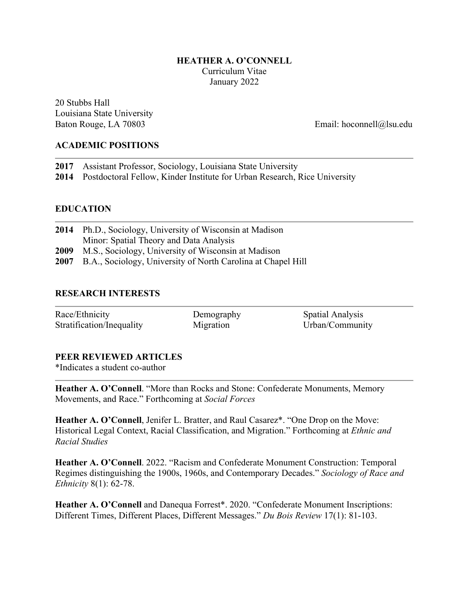## **HEATHER A. O'CONNELL** Curriculum Vitae January 2022

20 Stubbs Hall Louisiana State University Baton Rouge, LA 70803 Email: hoconnell@lsu.edu

## **ACADEMIC POSITIONS**

| 2017 Assistant Professor, Sociology, Louisiana State University                |
|--------------------------------------------------------------------------------|
| 2014 Postdoctoral Fellow, Kinder Institute for Urban Research, Rice University |

## **EDUCATION**

| 2014 Ph.D., Sociology, University of Wisconsin at Madison         |
|-------------------------------------------------------------------|
| Minor: Spatial Theory and Data Analysis                           |
| 2009 M.S., Sociology, University of Wisconsin at Madison          |
| 2007 B.A., Sociology, University of North Carolina at Chapel Hill |

### **RESEARCH INTERESTS**

| Race/Ethnicity            | Demography | <b>Spatial Analysis</b> |
|---------------------------|------------|-------------------------|
| Stratification/Inequality | Migration  | Urban/Community         |

### **PEER REVIEWED ARTICLES**

\*Indicates a student co-author

**Heather A. O'Connell**. "More than Rocks and Stone: Confederate Monuments, Memory Movements, and Race." Forthcoming at *Social Forces*

Heather A. O'Connell, Jenifer L. Bratter, and Raul Casarez\*. "One Drop on the Move: Historical Legal Context, Racial Classification, and Migration." Forthcoming at *Ethnic and Racial Studies*

**Heather A. O'Connell**. 2022. "Racism and Confederate Monument Construction: Temporal Regimes distinguishing the 1900s, 1960s, and Contemporary Decades." *Sociology of Race and Ethnicity* 8(1): 62-78.

**Heather A. O'Connell** and Danequa Forrest\*. 2020. "Confederate Monument Inscriptions: Different Times, Different Places, Different Messages." *Du Bois Review* 17(1): 81-103.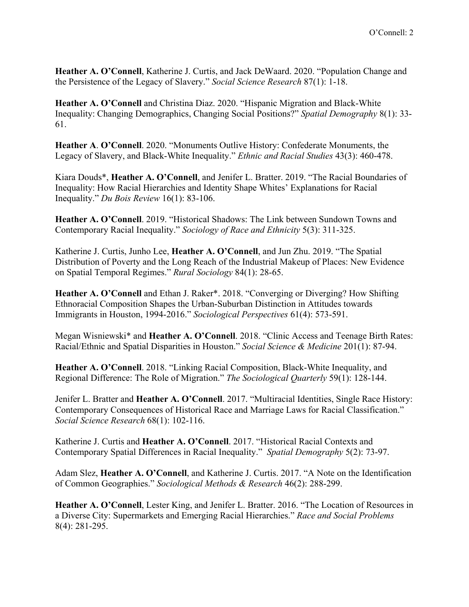**Heather A. O'Connell**, Katherine J. Curtis, and Jack DeWaard. 2020. "Population Change and the Persistence of the Legacy of Slavery." *Social Science Research* 87(1): 1-18.

**Heather A. O'Connell** and Christina Diaz. 2020. "Hispanic Migration and Black-White Inequality: Changing Demographics, Changing Social Positions?" *Spatial Demography* 8(1): 33- 61.

**Heather A**. **O'Connell**. 2020. "Monuments Outlive History: Confederate Monuments, the Legacy of Slavery, and Black-White Inequality." *Ethnic and Racial Studies* 43(3): 460-478.

Kiara Douds\*, **Heather A. O'Connell**, and Jenifer L. Bratter. 2019. "The Racial Boundaries of Inequality: How Racial Hierarchies and Identity Shape Whites' Explanations for Racial Inequality." *Du Bois Review* 16(1): 83-106.

**Heather A. O'Connell**. 2019. "Historical Shadows: The Link between Sundown Towns and Contemporary Racial Inequality." *Sociology of Race and Ethnicity* 5(3): 311-325.

Katherine J. Curtis, Junho Lee, **Heather A. O'Connell**, and Jun Zhu. 2019. "The Spatial Distribution of Poverty and the Long Reach of the Industrial Makeup of Places: New Evidence on Spatial Temporal Regimes." *Rural Sociology* 84(1): 28-65.

**Heather A. O'Connell** and Ethan J. Raker\*. 2018. "Converging or Diverging? How Shifting Ethnoracial Composition Shapes the Urban-Suburban Distinction in Attitudes towards Immigrants in Houston, 1994-2016." *Sociological Perspectives* 61(4): 573-591.

Megan Wisniewski\* and **Heather A. O'Connell**. 2018. "Clinic Access and Teenage Birth Rates: Racial/Ethnic and Spatial Disparities in Houston." *Social Science & Medicine* 201(1): 87-94.

**Heather A. O'Connell**. 2018. "Linking Racial Composition, Black-White Inequality, and Regional Difference: The Role of Migration." *The Sociological Quarterly* 59(1): 128-144.

Jenifer L. Bratter and **Heather A. O'Connell**. 2017. "Multiracial Identities, Single Race History: Contemporary Consequences of Historical Race and Marriage Laws for Racial Classification." *Social Science Research* 68(1): 102-116.

Katherine J. Curtis and **Heather A. O'Connell**. 2017. "Historical Racial Contexts and Contemporary Spatial Differences in Racial Inequality." *Spatial Demography* 5(2): 73-97.

Adam Slez, **Heather A. O'Connell**, and Katherine J. Curtis. 2017. "A Note on the Identification of Common Geographies." *Sociological Methods & Research* 46(2): 288-299.

**Heather A. O'Connell**, Lester King, and Jenifer L. Bratter. 2016. "The Location of Resources in a Diverse City: Supermarkets and Emerging Racial Hierarchies." *Race and Social Problems* 8(4): 281-295.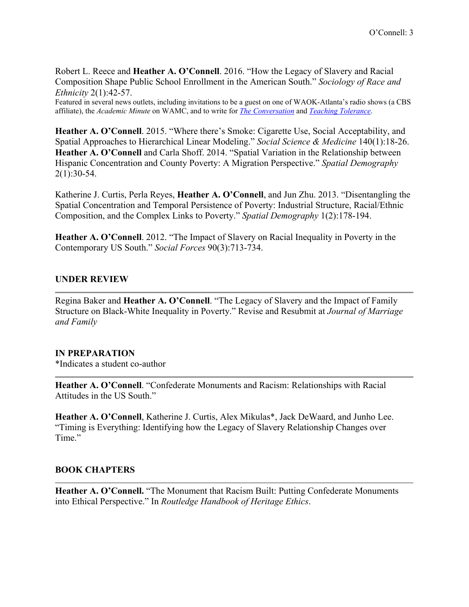Robert L. Reece and **Heather A. O'Connell**. 2016. "How the Legacy of Slavery and Racial Composition Shape Public School Enrollment in the American South." *Sociology of Race and Ethnicity* 2(1):42-57.

Featured in several news outlets, including invitations to be a guest on one of WAOK-Atlanta's radio shows (a CBS affiliate), the *Academic Minute* on WAMC, and to write for *[The Conversation](https://theconversation.com/to-see-the-legacy-of-slavery-look-at-present-day-school-systems-43896)* and *[Teaching Tolerance](http://www.tolerance.org/magazine/number-52-spring-2016/feature/segregation-forever)*.

**Heather A. O'Connell**. 2015. "Where there's Smoke: Cigarette Use, Social Acceptability, and Spatial Approaches to Hierarchical Linear Modeling." *Social Science & Medicine* 140(1):18-26. **Heather A. O'Connell** and Carla Shoff. 2014. "Spatial Variation in the Relationship between Hispanic Concentration and County Poverty: A Migration Perspective." *Spatial Demography* 2(1):30-54.

Katherine J. Curtis, Perla Reyes, **Heather A. O'Connell**, and Jun Zhu. 2013. "Disentangling the Spatial Concentration and Temporal Persistence of Poverty: Industrial Structure, Racial/Ethnic Composition, and the Complex Links to Poverty." *Spatial Demography* 1(2):178-194.

**Heather A. O'Connell**. 2012. "The Impact of Slavery on Racial Inequality in Poverty in the Contemporary US South." *Social Forces* 90(3):713-734.

#### **UNDER REVIEW**

Regina Baker and **Heather A. O'Connell**. "The Legacy of Slavery and the Impact of Family Structure on Black-White Inequality in Poverty." Revise and Resubmit at *Journal of Marriage and Family*

#### **IN PREPARATION**

\*Indicates a student co-author

**Heather A. O'Connell**. "Confederate Monuments and Racism: Relationships with Racial Attitudes in the US South."

**Heather A. O'Connell**, Katherine J. Curtis, Alex Mikulas\*, Jack DeWaard, and Junho Lee. "Timing is Everything: Identifying how the Legacy of Slavery Relationship Changes over Time."

### **BOOK CHAPTERS**

**Heather A. O'Connell.** "The Monument that Racism Built: Putting Confederate Monuments into Ethical Perspective." In *Routledge Handbook of Heritage Ethics*.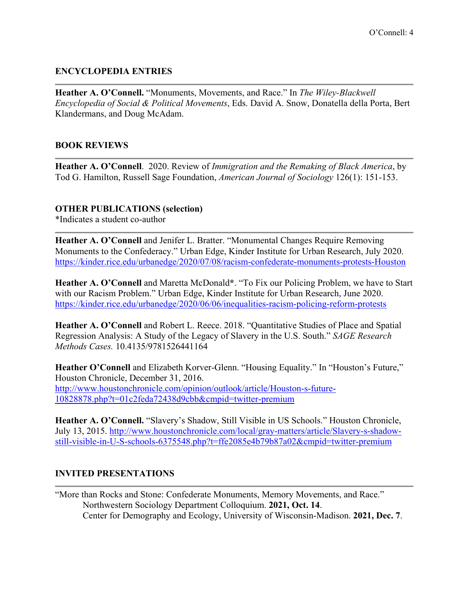# **ENCYCLOPEDIA ENTRIES**

**Heather A. O'Connell.** "Monuments, Movements, and Race." In *The Wiley-Blackwell Encyclopedia of Social & Political Movements*, Eds. David A. Snow, Donatella della Porta, Bert Klandermans, and Doug McAdam.

## **BOOK REVIEWS**

**Heather A. O'Connell**. 2020. Review of *Immigration and the Remaking of Black America*, by Tod G. Hamilton, Russell Sage Foundation, *American Journal of Sociology* 126(1): 151-153.

### **OTHER PUBLICATIONS (selection)**

\*Indicates a student co-author

**Heather A. O'Connell** and Jenifer L. Bratter. "Monumental Changes Require Removing Monuments to the Confederacy." Urban Edge, Kinder Institute for Urban Research, July 2020. <https://kinder.rice.edu/urbanedge/2020/07/08/racism-confederate-monuments-protests-Houston>

**Heather A. O'Connell** and Maretta McDonald**\***. "To Fix our Policing Problem, we have to Start with our Racism Problem." Urban Edge, Kinder Institute for Urban Research, June 2020. <https://kinder.rice.edu/urbanedge/2020/06/06/inequalities-racism-policing-reform-protests>

**Heather A. O'Connell** and Robert L. Reece. 2018. "Quantitative Studies of Place and Spatial Regression Analysis: A Study of the Legacy of Slavery in the U.S. South." *SAGE Research Methods Cases.* 10.4135/9781526441164

**Heather O'Connell** and Elizabeth Korver-Glenn. "Housing Equality." In "Houston's Future," Houston Chronicle, December 31, 2016. [http://www.houstonchronicle.com/opinion/outlook/article/Houston-s-future-](http://www.houstonchronicle.com/opinion/outlook/article/Houston-s-future-10828878.php?t=01c2feda72438d9cbb&cmpid=twitter-premium)[10828878.php?t=01c2feda72438d9cbb&cmpid=twitter-premium](http://www.houstonchronicle.com/opinion/outlook/article/Houston-s-future-10828878.php?t=01c2feda72438d9cbb&cmpid=twitter-premium)

**Heather A. O'Connell.** "Slavery's Shadow, Still Visible in US Schools." Houston Chronicle, July 13, 2015. [http://www.houstonchronicle.com/local/gray-matters/article/Slavery-s-shadow](http://www.houstonchronicle.com/local/gray-matters/article/Slavery-s-shadow-still-visible-in-U-S-schools-6375548.php?t=ffe2085e4b79b87a02&cmpid=twitter-premium)[still-visible-in-U-S-schools-6375548.php?t=ffe2085e4b79b87a02&cmpid=twitter-premium](http://www.houstonchronicle.com/local/gray-matters/article/Slavery-s-shadow-still-visible-in-U-S-schools-6375548.php?t=ffe2085e4b79b87a02&cmpid=twitter-premium)

# **INVITED PRESENTATIONS**

"More than Rocks and Stone: Confederate Monuments, Memory Movements, and Race." Northwestern Sociology Department Colloquium. **2021, Oct. 14**. Center for Demography and Ecology, University of Wisconsin-Madison. **2021, Dec. 7**.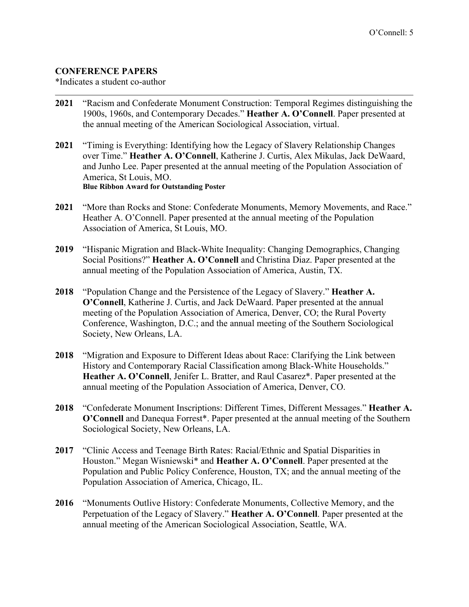## **CONFERENCE PAPERS**

\*Indicates a student co-author

- **2021** "Racism and Confederate Monument Construction: Temporal Regimes distinguishing the 1900s, 1960s, and Contemporary Decades." **Heather A. O'Connell**. Paper presented at the annual meeting of the American Sociological Association, virtual.
- **2021** "Timing is Everything: Identifying how the Legacy of Slavery Relationship Changes over Time." **Heather A. O'Connell**, Katherine J. Curtis, Alex Mikulas, Jack DeWaard, and Junho Lee. Paper presented at the annual meeting of the Population Association of America, St Louis, MO. **Blue Ribbon Award for Outstanding Poster**
- **2021** "More than Rocks and Stone: Confederate Monuments, Memory Movements, and Race." Heather A. O'Connell. Paper presented at the annual meeting of the Population Association of America, St Louis, MO.
- **2019** "Hispanic Migration and Black-White Inequality: Changing Demographics, Changing Social Positions?" **Heather A. O'Connell** and Christina Diaz. Paper presented at the annual meeting of the Population Association of America, Austin, TX.
- **2018** "Population Change and the Persistence of the Legacy of Slavery." **Heather A. O'Connell**, Katherine J. Curtis, and Jack DeWaard. Paper presented at the annual meeting of the Population Association of America, Denver, CO; the Rural Poverty Conference, Washington, D.C.; and the annual meeting of the Southern Sociological Society, New Orleans, LA.
- **2018** "Migration and Exposure to Different Ideas about Race: Clarifying the Link between History and Contemporary Racial Classification among Black-White Households." **Heather A. O'Connell**, Jenifer L. Bratter, and Raul Casarez\*. Paper presented at the annual meeting of the Population Association of America, Denver, CO.
- **2018** "Confederate Monument Inscriptions: Different Times, Different Messages." **Heather A. O'Connell** and Danequa Forrest\*. Paper presented at the annual meeting of the Southern Sociological Society, New Orleans, LA.
- **2017** "Clinic Access and Teenage Birth Rates: Racial/Ethnic and Spatial Disparities in Houston." Megan Wisniewski\* and **Heather A. O'Connell**. Paper presented at the Population and Public Policy Conference, Houston, TX; and the annual meeting of the Population Association of America, Chicago, IL.
- **2016** "Monuments Outlive History: Confederate Monuments, Collective Memory, and the Perpetuation of the Legacy of Slavery." **Heather A. O'Connell**. Paper presented at the annual meeting of the American Sociological Association, Seattle, WA.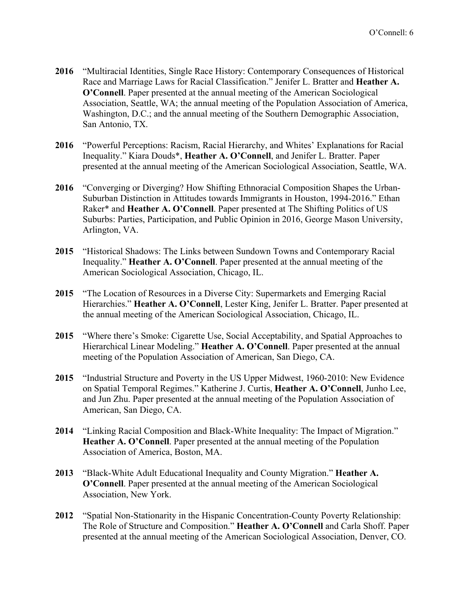- **2016** "Multiracial Identities, Single Race History: Contemporary Consequences of Historical Race and Marriage Laws for Racial Classification." Jenifer L. Bratter and **Heather A. O'Connell**. Paper presented at the annual meeting of the American Sociological Association, Seattle, WA; the annual meeting of the Population Association of America, Washington, D.C.; and the annual meeting of the Southern Demographic Association, San Antonio, TX.
- **2016** "Powerful Perceptions: Racism, Racial Hierarchy, and Whites' Explanations for Racial Inequality." Kiara Douds\*, **Heather A. O'Connell**, and Jenifer L. Bratter. Paper presented at the annual meeting of the American Sociological Association, Seattle, WA.
- **2016** "Converging or Diverging? How Shifting Ethnoracial Composition Shapes the Urban-Suburban Distinction in Attitudes towards Immigrants in Houston, 1994-2016." Ethan Raker\* and **Heather A. O'Connell**. Paper presented at The Shifting Politics of US Suburbs: Parties, Participation, and Public Opinion in 2016, George Mason University, Arlington, VA.
- **2015** "Historical Shadows: The Links between Sundown Towns and Contemporary Racial Inequality." **Heather A. O'Connell**. Paper presented at the annual meeting of the American Sociological Association, Chicago, IL.
- **2015** "The Location of Resources in a Diverse City: Supermarkets and Emerging Racial Hierarchies." **Heather A. O'Connell**, Lester King, Jenifer L. Bratter. Paper presented at the annual meeting of the American Sociological Association, Chicago, IL.
- **2015** "Where there's Smoke: Cigarette Use, Social Acceptability, and Spatial Approaches to Hierarchical Linear Modeling." **Heather A. O'Connell**. Paper presented at the annual meeting of the Population Association of American, San Diego, CA.
- **2015** "Industrial Structure and Poverty in the US Upper Midwest, 1960-2010: New Evidence on Spatial Temporal Regimes." Katherine J. Curtis, **Heather A. O'Connell**, Junho Lee, and Jun Zhu. Paper presented at the annual meeting of the Population Association of American, San Diego, CA.
- **2014** "Linking Racial Composition and Black-White Inequality: The Impact of Migration." **Heather A. O'Connell**. Paper presented at the annual meeting of the Population Association of America, Boston, MA.
- **2013** "Black-White Adult Educational Inequality and County Migration." **Heather A. O'Connell**. Paper presented at the annual meeting of the American Sociological Association, New York.
- **2012** "Spatial Non-Stationarity in the Hispanic Concentration-County Poverty Relationship: The Role of Structure and Composition." **Heather A. O'Connell** and Carla Shoff. Paper presented at the annual meeting of the American Sociological Association, Denver, CO.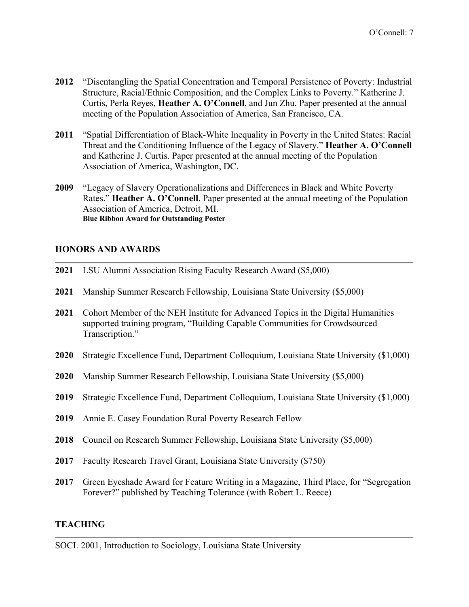- **2012** "Disentangling the Spatial Concentration and Temporal Persistence of Poverty: Industrial Structure, Racial/Ethnic Composition, and the Complex Links to Poverty." Katherine J. Curtis, Perla Reyes, **Heather A. O'Connell**, and Jun Zhu. Paper presented at the annual meeting of the Population Association of America, San Francisco, CA.
- **2011** "Spatial Differentiation of Black-White Inequality in Poverty in the United States: Racial Threat and the Conditioning Influence of the Legacy of Slavery." **Heather A. O'Connell** and Katherine J. Curtis. Paper presented at the annual meeting of the Population Association of America, Washington, DC.
- **2009** "Legacy of Slavery Operationalizations and Differences in Black and White Poverty Rates." **Heather A. O'Connell**. Paper presented at the annual meeting of the Population Association of America, Detroit, MI. **Blue Ribbon Award for Outstanding Poster**

### **HONORS AND AWARDS**

- **2021** LSU Alumni Association Rising Faculty Research Award (\$5,000)
- **2021** Manship Summer Research Fellowship, Louisiana State University (\$5,000)
- **2021** Cohort Member of the NEH Institute for Advanced Topics in the Digital Humanities supported training program, "Building Capable Communities for Crowdsourced Transcription."
- **2020** Strategic Excellence Fund, Department Colloquium, Louisiana State University (\$1,000)
- **2020** Manship Summer Research Fellowship, Louisiana State University (\$5,000)
- **2019** Strategic Excellence Fund, Department Colloquium, Louisiana State University (\$1,000)
- **2019** Annie E. Casey Foundation Rural Poverty Research Fellow
- **2018** Council on Research Summer Fellowship, Louisiana State University (\$5,000)
- **2017** Faculty Research Travel Grant, Louisiana State University (\$750)
- **2017** Green Eyeshade Award for Feature Writing in a Magazine, Third Place, for "Segregation Forever?" published by Teaching Tolerance (with Robert L. Reece)

### **TEACHING**

SOCL 2001, Introduction to Sociology, Louisiana State University